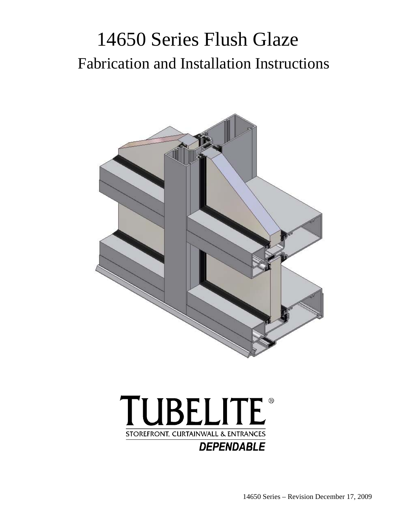# 14650 Series Flush Glaze Fabrication and Installation Instructions



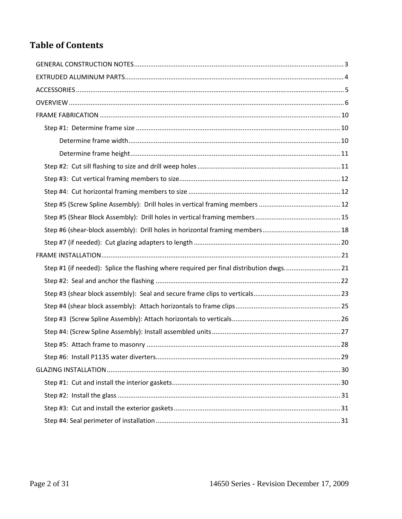# **Table of Contents**

| Step #1 (if needed): Splice the flashing where required per final distribution dwgs21 |
|---------------------------------------------------------------------------------------|
|                                                                                       |
|                                                                                       |
|                                                                                       |
|                                                                                       |
|                                                                                       |
|                                                                                       |
|                                                                                       |
|                                                                                       |
|                                                                                       |
|                                                                                       |
|                                                                                       |
|                                                                                       |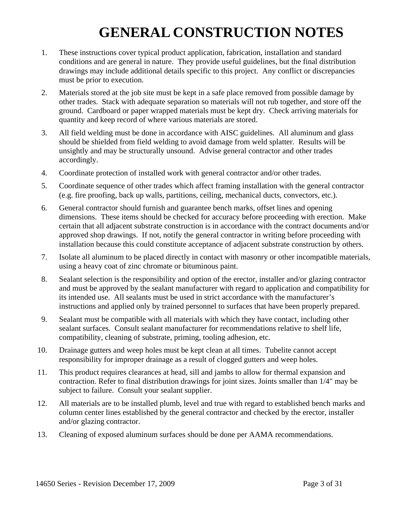# **GENERAL CONSTRUCTION NOTES**

- 1. These instructions cover typical product application, fabrication, installation and standard conditions and are general in nature. They provide useful guidelines, but the final distribution drawings may include additional details specific to this project. Any conflict or discrepancies must be prior to execution.
- 2. Materials stored at the job site must be kept in a safe place removed from possible damage by other trades. Stack with adequate separation so materials will not rub together, and store off the ground. Cardboard or paper wrapped materials must be kept dry. Check arriving materials for quantity and keep record of where various materials are stored.
- 3. All field welding must be done in accordance with AISC guidelines. All aluminum and glass should be shielded from field welding to avoid damage from weld splatter. Results will be unsightly and may be structurally unsound. Advise general contractor and other trades accordingly.
- 4. Coordinate protection of installed work with general contractor and/or other trades.
- 5. Coordinate sequence of other trades which affect framing installation with the general contractor (e.g. fire proofing, back up walls, partitions, ceiling, mechanical ducts, convectors, etc.).
- 6. General contractor should furnish and guarantee bench marks, offset lines and opening dimensions. These items should be checked for accuracy before proceeding with erection. Make certain that all adjacent substrate construction is in accordance with the contract documents and/or approved shop drawings. If not, notify the general contractor in writing before proceeding with installation because this could constitute acceptance of adjacent substrate construction by others.
- 7. Isolate all aluminum to be placed directly in contact with masonry or other incompatible materials, using a heavy coat of zinc chromate or bituminous paint.
- 8. Sealant selection is the responsibility and option of the erector, installer and/or glazing contractor and must be approved by the sealant manufacturer with regard to application and compatibility for its intended use. All sealants must be used in strict accordance with the manufacturer's instructions and applied only by trained personnel to surfaces that have been properly prepared.
- 9. Sealant must be compatible with all materials with which they have contact, including other sealant surfaces. Consult sealant manufacturer for recommendations relative to shelf life, compatibility, cleaning of substrate, priming, tooling adhesion, etc.
- 10. Drainage gutters and weep holes must be kept clean at all times. Tubelite cannot accept responsibility for improper drainage as a result of clogged gutters and weep holes.
- 11. This product requires clearances at head, sill and jambs to allow for thermal expansion and contraction. Refer to final distribution drawings for joint sizes. Joints smaller than 1/4" may be subject to failure. Consult your sealant supplier.
- 12. All materials are to be installed plumb, level and true with regard to established bench marks and column center lines established by the general contractor and checked by the erector, installer and/or glazing contractor.
- 13. Cleaning of exposed aluminum surfaces should be done per AAMA recommendations.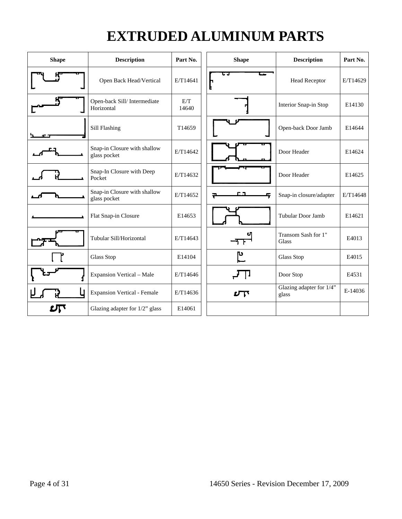# **EXTRUDED ALUMINUM PARTS**

| <b>Shape</b> | <b>Description</b>                           | Part No.     | <b>Shape</b> | <b>Description</b>                | Part No. |
|--------------|----------------------------------------------|--------------|--------------|-----------------------------------|----------|
|              | Open Back Head/Vertical                      | E/T14641     |              | <b>Head Receptor</b>              | E/T14629 |
|              | Open-back Sill/Intermediate<br>Horizontal    | E/T<br>14640 |              | Interior Snap-in Stop             | E14130   |
|              | Sill Flashing                                | T14659       |              | Open-back Door Jamb               | E14644   |
|              | Snap-in Closure with shallow<br>glass pocket | E/T14642     |              | Door Header                       | E14624   |
|              | Snap-In Closure with Deep<br>Pocket          | E/T14632     |              | Door Header                       | E14625   |
|              | Snap-in Closure with shallow<br>glass pocket | E/T14652     |              | Snap-in closure/adapter           | E/T14648 |
|              | Flat Snap-in Closure                         | E14653       |              | Tubular Door Jamb                 | E14621   |
|              | Tubular Sill/Horizontal                      | E/T14643     |              | Transom Sash for 1"<br>Glass      | E4013    |
|              | <b>Glass Stop</b>                            | E14104       | ٣            | <b>Glass Stop</b>                 | E4015    |
|              | <b>Expansion Vertical - Male</b>             | E/T14646     |              | Door Stop                         | E4531    |
|              | <b>Expansion Vertical - Female</b>           | E/T14636     | $L_{\rm T}$  | Glazing adapter for 1/4"<br>glass | E-14036  |
| பி           | Glazing adapter for 1/2" glass               | E14061       |              |                                   |          |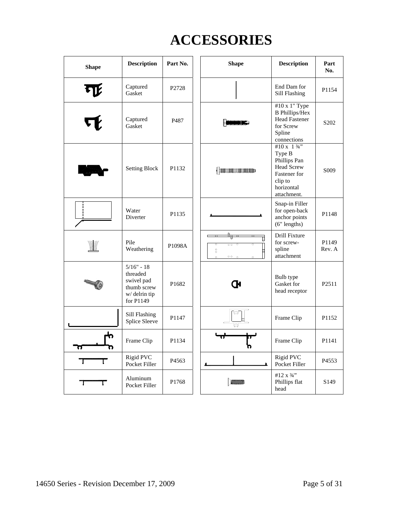# **ACCESSORIES**

| <b>Shape</b> | <b>Description</b>                                                                 | Part No. |                         | <b>Shape</b>                   | <b>Description</b>                                                                                                                    | Part<br>No.      |
|--------------|------------------------------------------------------------------------------------|----------|-------------------------|--------------------------------|---------------------------------------------------------------------------------------------------------------------------------------|------------------|
|              | Captured<br>Gasket                                                                 | P2728    |                         |                                | End Dam for<br>Sill Flashing                                                                                                          | P1154            |
|              | Captured<br>Gasket                                                                 | P487     |                         |                                | #10 x 1" Type<br><b>B</b> Phillips/Hex<br><b>Head Fastener</b><br>for Screw<br>Spline<br>connections                                  | S <sub>202</sub> |
|              | <b>Setting Block</b>                                                               | P1132    |                         | (ummunummu                     | #10 x 1 $\frac{3}{4}$ "<br>Type B<br>Phillips Pan<br><b>Head Screw</b><br><b>Fastener</b> for<br>clip to<br>horizontal<br>attachment. | S <sub>009</sub> |
|              | Water<br>Diverter                                                                  | P1135    |                         |                                | Snap-in Filler<br>for open-back<br>anchor points<br>$(6"$ lengths)                                                                    | P1148            |
|              | Pile<br>Weathering                                                                 | P1098A   | ਠ<br>$^{\circ}_{\circ}$ | d<br>$\overline{\circ}$<br>000 | Drill Fixture<br>for screw-<br>spline<br>attachment                                                                                   | P1149<br>Rev. A  |
|              | $5/16" - 18$<br>threaded<br>swivel pad<br>thumb screw<br>w/delrin tip<br>for P1149 | P1682    |                         | Œ                              | Bulb type<br>Gasket for<br>head receptor                                                                                              | P2511            |
|              | Sill Flashing<br>Splice Sleeve                                                     | P1147    |                         | 701<br>W                       | Frame Clip                                                                                                                            | P1152            |
| h<br>a,      | Frame Clip                                                                         | P1134    |                         |                                | Frame Clip                                                                                                                            | P1141            |
|              | <b>Rigid PVC</b><br>Pocket Filler                                                  | P4563    |                         |                                | <b>Rigid PVC</b><br>Pocket Filler                                                                                                     | P4553            |
|              | Aluminum<br>Pocket Filler                                                          | P1768    |                         |                                | #12 x 3/4"<br>Phillips flat<br>head                                                                                                   | S <sub>149</sub> |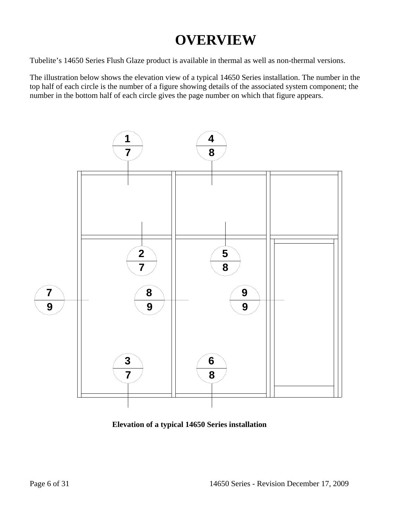# **OVERVIEW**

Tubelite's 14650 Series Flush Glaze product is available in thermal as well as non-thermal versions.

The illustration below shows the elevation view of a typical 14650 Series installation. The number in the top half of each circle is the number of a figure showing details of the associated system component; the number in the bottom half of each circle gives the page number on which that figure appears.



**Elevation of a typical 14650 Series installation**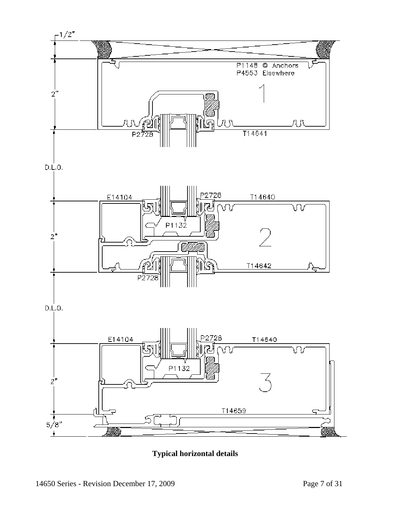

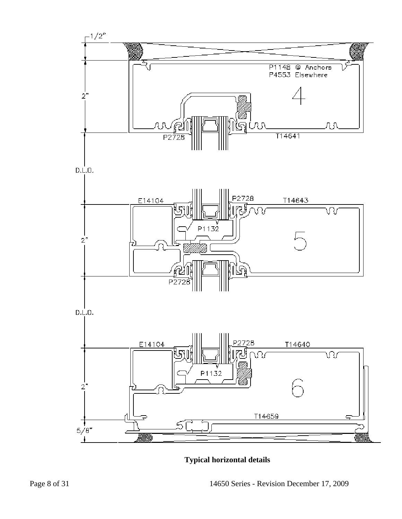

**Typical horizontal details**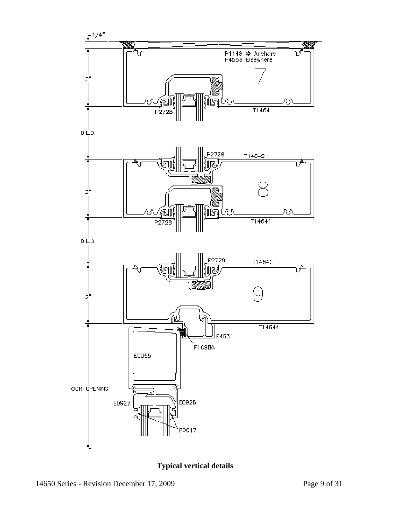

**Typical vertical details**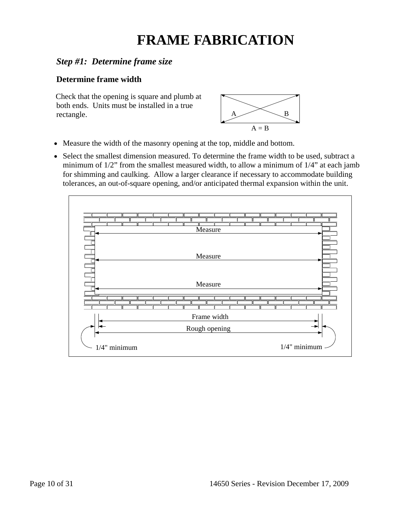# **FRAME FABRICATION**

### *Step #1: Determine frame size*

### **Determine frame width**

Check that the opening is square and plumb at both ends. Units must be installed in a true rectangle.  $A \longrightarrow B$ 



- Measure the width of the masonry opening at the top, middle and bottom.
- Select the smallest dimension measured. To determine the frame width to be used, subtract a minimum of 1/2" from the smallest measured width, to allow a minimum of 1/4" at each jamb for shimming and caulking. Allow a larger clearance if necessary to accommodate building tolerances, an out-of-square opening, and/or anticipated thermal expansion within the unit.

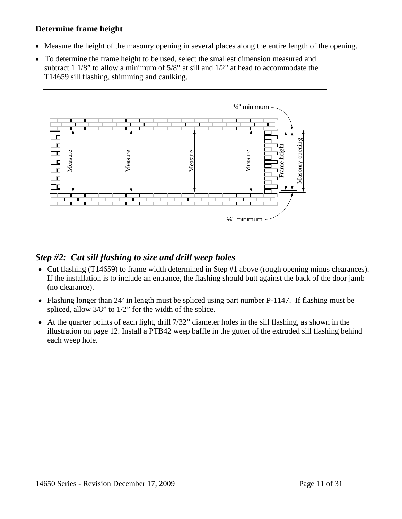### **Determine frame height**

- Measure the height of the masonry opening in several places along the entire length of the opening.
- To determine the frame height to be used, select the smallest dimension measured and subtract 1 1/8" to allow a minimum of 5/8" at sill and 1/2" at head to accommodate the T14659 sill flashing, shimming and caulking.



### *Step #2: Cut sill flashing to size and drill weep holes*

- Cut flashing (T14659) to frame width determined in Step #1 above (rough opening minus clearances). If the installation is to include an entrance, the flashing should butt against the back of the door jamb (no clearance).
- Flashing longer than 24' in length must be spliced using part number P-1147. If flashing must be spliced, allow 3/8" to 1/2" for the width of the splice.
- At the quarter points of each light, drill 7/32" diameter holes in the sill flashing, as shown in the illustration on page 12. Install a PTB42 weep baffle in the gutter of the extruded sill flashing behind each weep hole.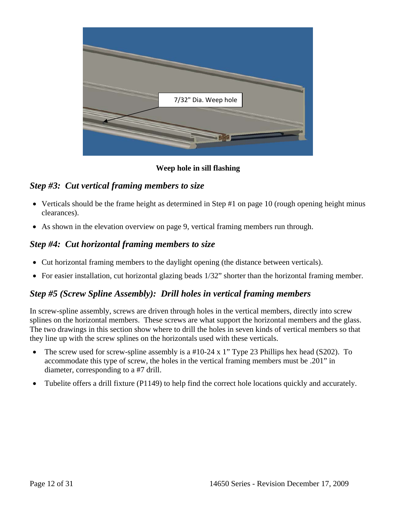

#### **Weep hole in sill flashing**

#### *Step #3: Cut vertical framing members to size*

- Verticals should be the frame height as determined in Step #1 on page 10 (rough opening height minus clearances).
- As shown in the elevation overview on page 9, vertical framing members run through.

### *Step #4: Cut horizontal framing members to size*

- Cut horizontal framing members to the daylight opening (the distance between verticals).
- For easier installation, cut horizontal glazing beads 1/32" shorter than the horizontal framing member.

#### *Step #5 (Screw Spline Assembly): Drill holes in vertical framing members*

In screw-spline assembly, screws are driven through holes in the vertical members, directly into screw splines on the horizontal members. These screws are what support the horizontal members and the glass. The two drawings in this section show where to drill the holes in seven kinds of vertical members so that they line up with the screw splines on the horizontals used with these verticals.

- The screw used for screw-spline assembly is a #10-24 x 1" Type 23 Phillips hex head (S202). To accommodate this type of screw, the holes in the vertical framing members must be .201" in diameter, corresponding to a #7 drill.
- Tubelite offers a drill fixture (P1149) to help find the correct hole locations quickly and accurately.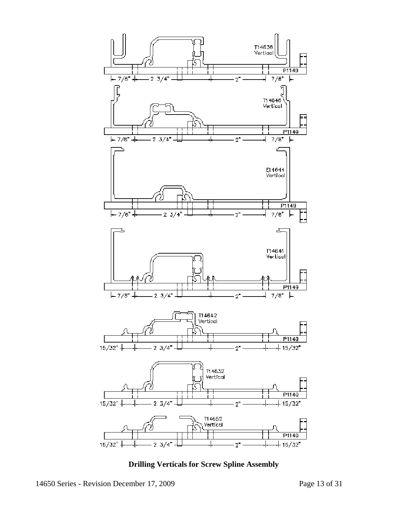

**Drilling Verticals for Screw Spline Assembly**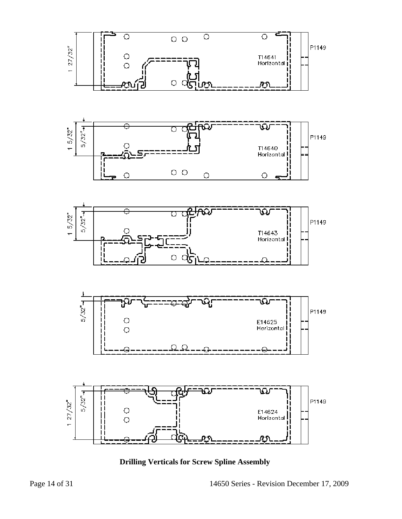

**Drilling Verticals for Screw Spline Assembly**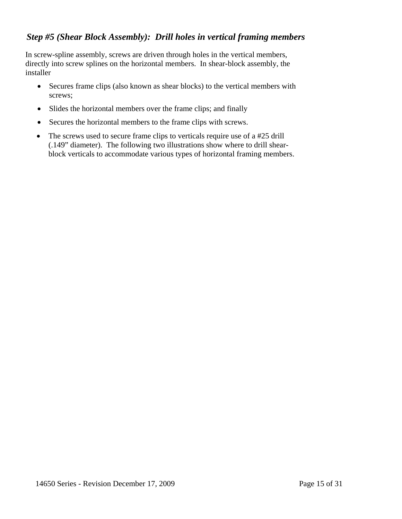### *Step #5 (Shear Block Assembly): Drill holes in vertical framing members*

In screw-spline assembly, screws are driven through holes in the vertical members, directly into screw splines on the horizontal members. In shear-block assembly, the installer

- Secures frame clips (also known as shear blocks) to the vertical members with screws;
- Slides the horizontal members over the frame clips; and finally
- Secures the horizontal members to the frame clips with screws.
- The screws used to secure frame clips to verticals require use of a #25 drill (.149" diameter). The following two illustrations show where to drill shearblock verticals to accommodate various types of horizontal framing members.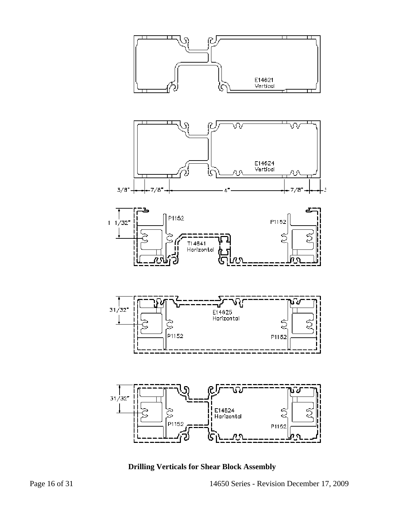

 **Drilling Verticals for Shear Block Assembly**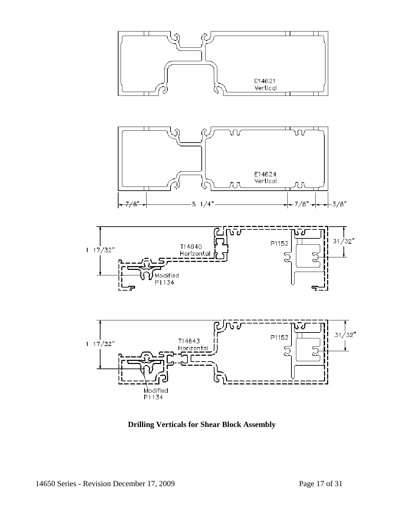

 **Drilling Verticals for Shear Block Assembly**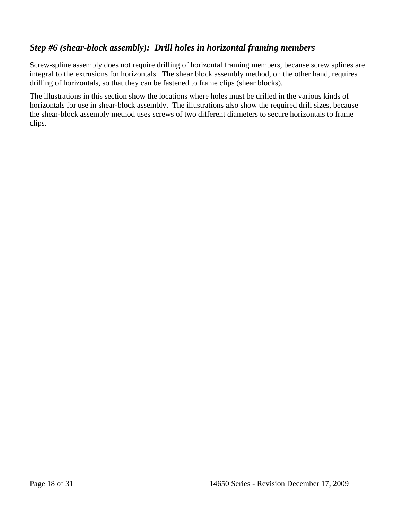### *Step #6 (shear-block assembly): Drill holes in horizontal framing members*

Screw-spline assembly does not require drilling of horizontal framing members, because screw splines are integral to the extrusions for horizontals. The shear block assembly method, on the other hand, requires drilling of horizontals, so that they can be fastened to frame clips (shear blocks).

The illustrations in this section show the locations where holes must be drilled in the various kinds of horizontals for use in shear-block assembly. The illustrations also show the required drill sizes, because the shear-block assembly method uses screws of two different diameters to secure horizontals to frame clips.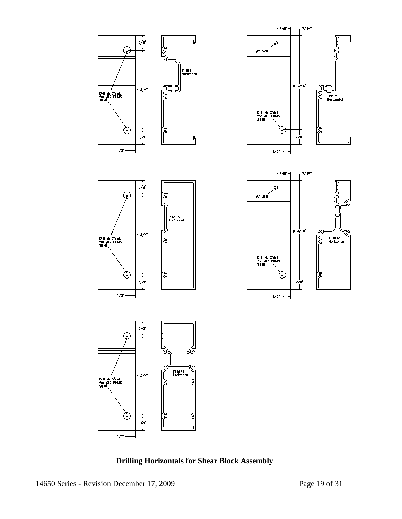

 **Drilling Horizontals for Shear Block Assembly**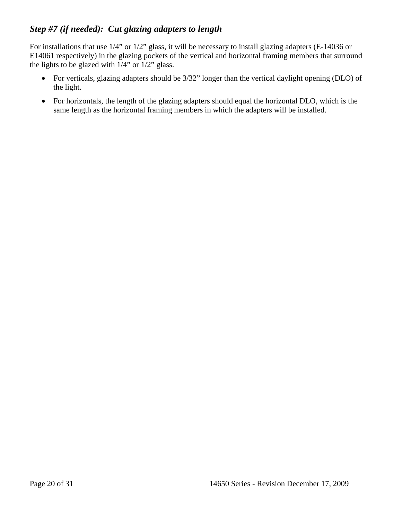# *Step #7 (if needed): Cut glazing adapters to length*

For installations that use 1/4" or 1/2" glass, it will be necessary to install glazing adapters (E-14036 or E14061 respectively) in the glazing pockets of the vertical and horizontal framing members that surround the lights to be glazed with 1/4" or 1/2" glass.

- For verticals, glazing adapters should be 3/32" longer than the vertical daylight opening (DLO) of the light.
- For horizontals, the length of the glazing adapters should equal the horizontal DLO, which is the same length as the horizontal framing members in which the adapters will be installed.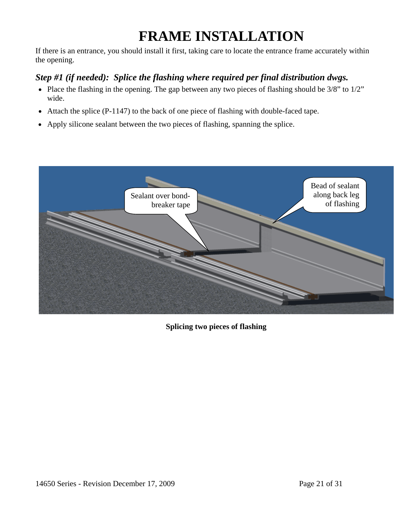# **FRAME INSTALLATION**

If there is an entrance, you should install it first, taking care to locate the entrance frame accurately within the opening.

# *Step #1 (if needed): Splice the flashing where required per final distribution dwgs.*

- Place the flashing in the opening. The gap between any two pieces of flashing should be 3/8" to 1/2" wide.
- Attach the splice (P-1147) to the back of one piece of flashing with double-faced tape.
- Apply silicone sealant between the two pieces of flashing, spanning the splice.



**Splicing two pieces of flashing**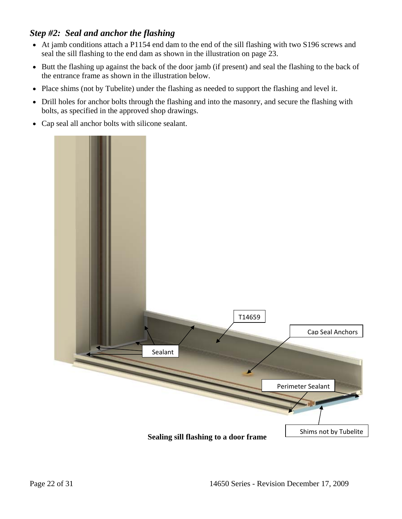### *Step #2: Seal and anchor the flashing*

- At jamb conditions attach a P1154 end dam to the end of the sill flashing with two S196 screws and seal the sill flashing to the end dam as shown in the illustration on page 23.
- Butt the flashing up against the back of the door jamb (if present) and seal the flashing to the back of the entrance frame as shown in the illustration below.
- Place shims (not by Tubelite) under the flashing as needed to support the flashing and level it.
- Drill holes for anchor bolts through the flashing and into the masonry, and secure the flashing with bolts, as specified in the approved shop drawings.
- Cap seal all anchor bolts with silicone sealant.

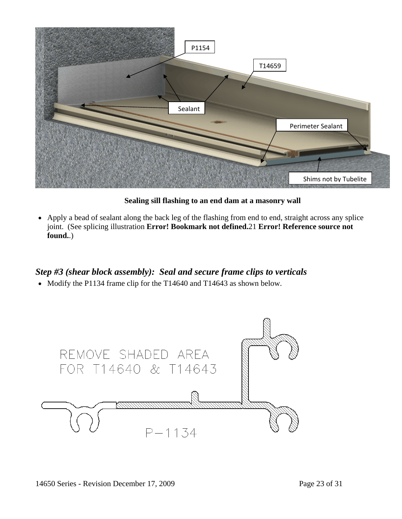

**Sealing sill flashing to an end dam at a masonry wall** 

• Apply a bead of sealant along the back leg of the flashing from end to end, straight across any splice joint. (See splicing illustration **Error! Bookmark not defined.**21 **Error! Reference source not found.**.)

## *Step #3 (shear block assembly): Seal and secure frame clips to verticals*

• Modify the P1134 frame clip for the T14640 and T14643 as shown below.

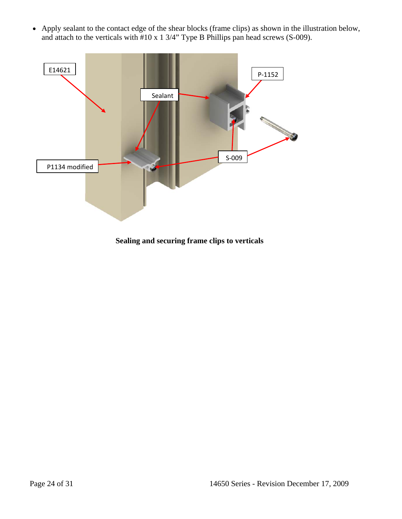• Apply sealant to the contact edge of the shear blocks (frame clips) as shown in the illustration below, and attach to the verticals with #10 x 1 3/4" Type B Phillips pan head screws (S-009).



**Sealing and securing frame clips to verticals**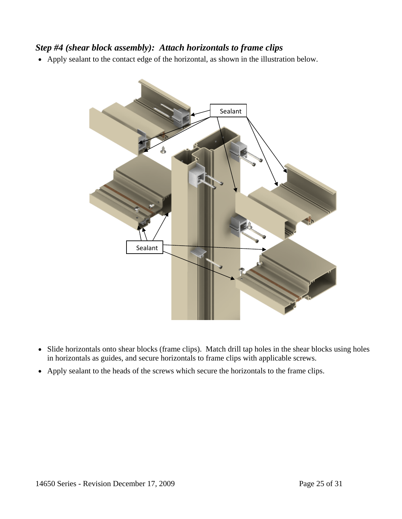### *Step #4 (shear block assembly): Attach horizontals to frame clips*

• Apply sealant to the contact edge of the horizontal, as shown in the illustration below.



- Slide horizontals onto shear blocks (frame clips). Match drill tap holes in the shear blocks using holes in horizontals as guides, and secure horizontals to frame clips with applicable screws.
- Apply sealant to the heads of the screws which secure the horizontals to the frame clips.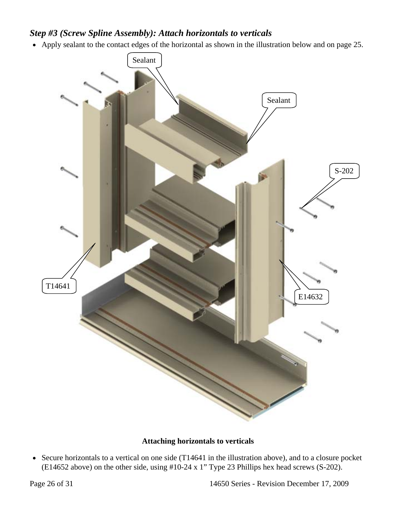### *Step #3 (Screw Spline Assembly): Attach horizontals to verticals*

• Apply sealant to the contact edges of the horizontal as shown in the illustration below and on page 25.



#### **Attaching horizontals to verticals**

• Secure horizontals to a vertical on one side (T14641 in the illustration above), and to a closure pocket (E14652 above) on the other side, using  $#10-24 \times 1$ " Type 23 Phillips hex head screws (S-202).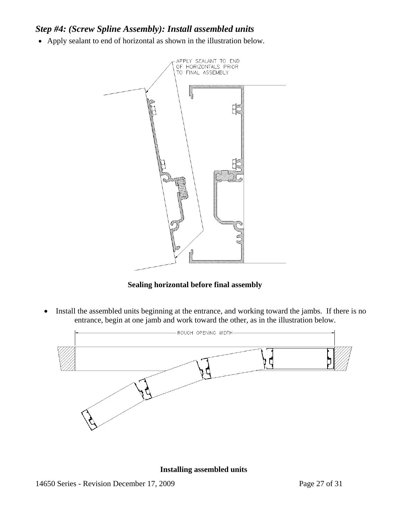### *Step #4: (Screw Spline Assembly): Install assembled units*

• Apply sealant to end of horizontal as shown in the illustration below.



**Sealing horizontal before final assembly** 

• Install the assembled units beginning at the entrance, and working toward the jambs. If there is no entrance, begin at one jamb and work toward the other, as in the illustration below.



**Installing assembled units**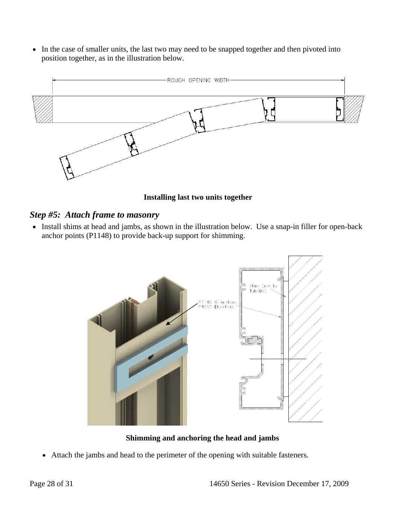• In the case of smaller units, the last two may need to be snapped together and then pivoted into position together, as in the illustration below.



**Installing last two units together** 

#### *Step #5: Attach frame to masonry*

• Install shims at head and jambs, as shown in the illustration below. Use a snap-in filler for open-back anchor points (P1148) to provide back-up support for shimming.



**Shimming and anchoring the head and jambs** 

• Attach the jambs and head to the perimeter of the opening with suitable fasteners.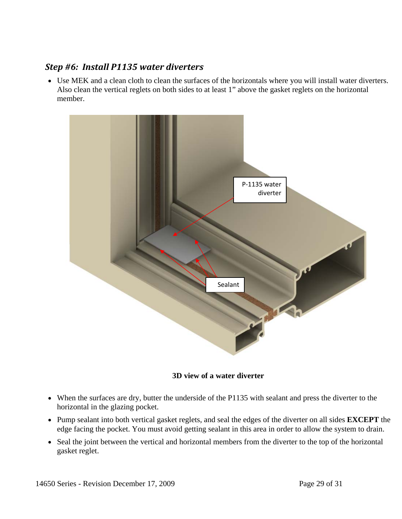### *Step #6: Install P1135 water diverters*

• Use MEK and a clean cloth to clean the surfaces of the horizontals where you will install water diverters. Also clean the vertical reglets on both sides to at least 1" above the gasket reglets on the horizontal member.



**3D view of a water diverter** 

- When the surfaces are dry, butter the underside of the P1135 with sealant and press the diverter to the horizontal in the glazing pocket.
- Pump sealant into both vertical gasket reglets, and seal the edges of the diverter on all sides **EXCEPT** the edge facing the pocket. You must avoid getting sealant in this area in order to allow the system to drain.
- Seal the joint between the vertical and horizontal members from the diverter to the top of the horizontal gasket reglet.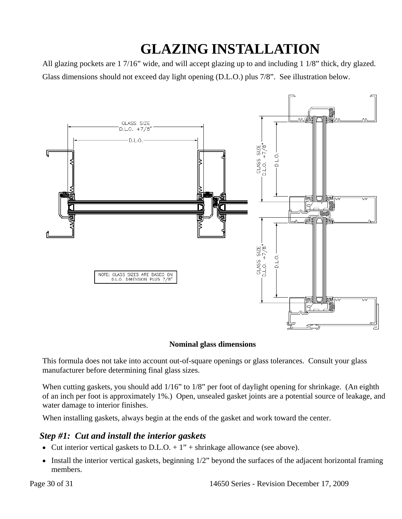# **GLAZING INSTALLATION**

All glazing pockets are 1 7/16" wide, and will accept glazing up to and including 1 1/8" thick, dry glazed. Glass dimensions should not exceed day light opening (D.L.O.) plus 7/8". See illustration below.



#### **Nominal glass dimensions**

This formula does not take into account out-of-square openings or glass tolerances. Consult your glass manufacturer before determining final glass sizes.

When cutting gaskets, you should add 1/16" to 1/8" per foot of daylight opening for shrinkage. (An eighth of an inch per foot is approximately 1%.) Open, unsealed gasket joints are a potential source of leakage, and water damage to interior finishes.

When installing gaskets, always begin at the ends of the gasket and work toward the center.

#### *Step #1: Cut and install the interior gaskets*

- Cut interior vertical gaskets to D.L.O.  $+1$ " + shrinkage allowance (see above).
- Install the interior vertical gaskets, beginning 1/2" beyond the surfaces of the adjacent horizontal framing members.